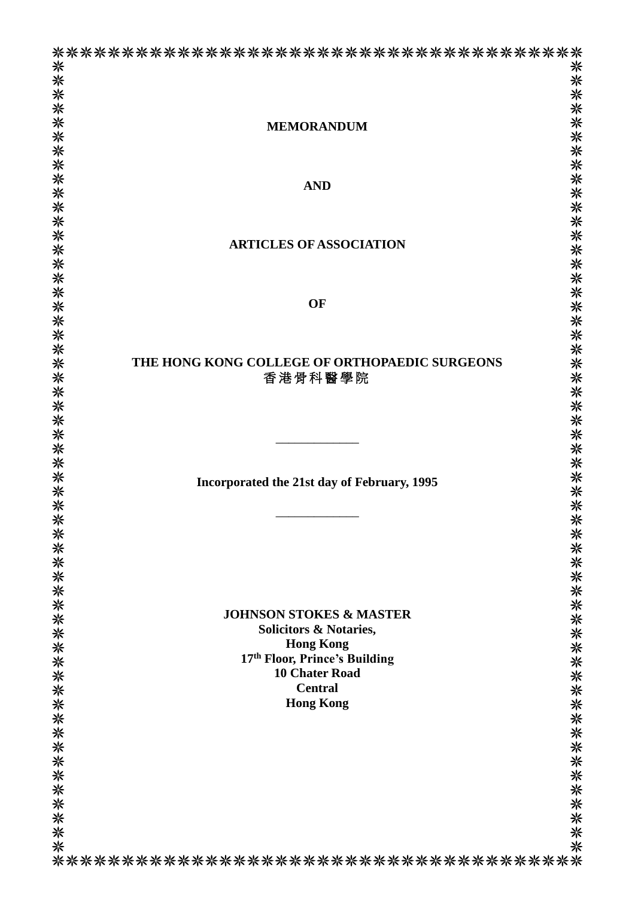|                                               | <b>米米米米米米米米米米米米米米米米米米米米米米米米</b> 米米米米米米米米 |
|-----------------------------------------------|------------------------------------------|
| <b>MEMORANDUM</b>                             |                                          |
|                                               |                                          |
|                                               |                                          |
| <b>AND</b>                                    |                                          |
|                                               |                                          |
|                                               |                                          |
|                                               |                                          |
| <b>ARTICLES OF ASSOCIATION</b>                |                                          |
|                                               |                                          |
|                                               |                                          |
| OF                                            |                                          |
|                                               |                                          |
|                                               |                                          |
| THE HONG KONG COLLEGE OF ORTHOPAEDIC SURGEONS |                                          |
| 香港骨科醫學院                                       |                                          |
|                                               |                                          |
|                                               |                                          |
|                                               |                                          |
|                                               |                                          |
| Incorporated the 21st day of February, 1995   |                                          |
|                                               |                                          |
|                                               |                                          |
|                                               |                                          |
|                                               |                                          |
|                                               |                                          |
|                                               |                                          |
| <b>JOHNSON STOKES &amp; MASTER</b>            |                                          |
| <b>Solicitors &amp; Notaries,</b>             |                                          |
| <b>Hong Kong</b>                              |                                          |
| 17th Floor, Prince's Building                 |                                          |
| <b>10 Chater Road</b><br><b>Central</b>       |                                          |
| <b>Hong Kong</b>                              |                                          |
|                                               |                                          |
|                                               |                                          |
|                                               |                                          |
|                                               |                                          |
|                                               |                                          |
|                                               |                                          |
|                                               | ************************                 |
|                                               |                                          |
|                                               |                                          |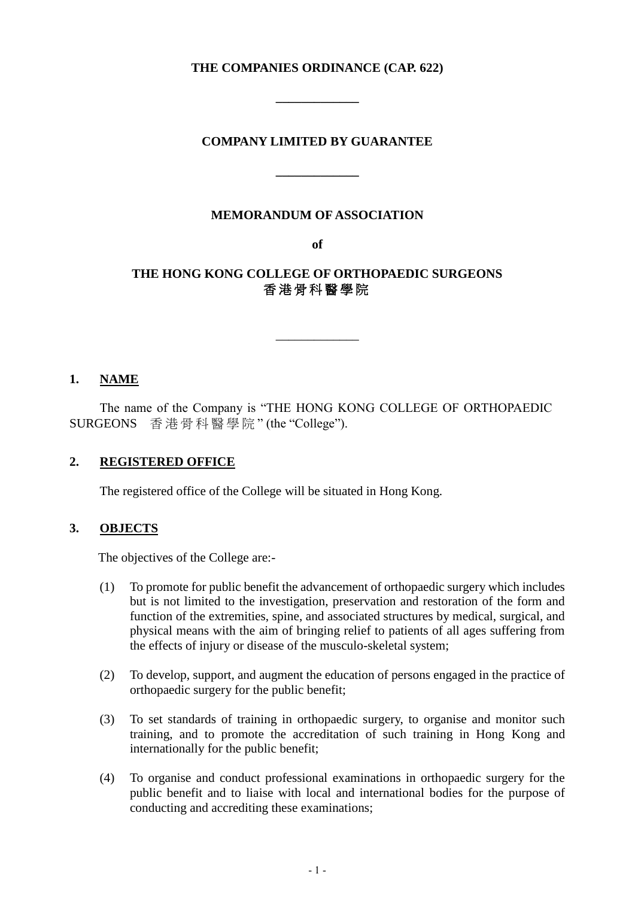## **THE COMPANIES ORDINANCE (CAP. 622)**

**\_\_\_\_\_\_\_\_\_\_\_\_\_**

### **COMPANY LIMITED BY GUARANTEE**

**\_\_\_\_\_\_\_\_\_\_\_\_\_**

#### **MEMORANDUM OF ASSOCIATION**

**of**

# **THE HONG KONG COLLEGE OF ORTHOPAEDIC SURGEONS** 香 港 骨 科 醫 學 院

\_\_\_\_\_\_\_\_\_\_\_\_\_

# **1. NAME**

The name of the Company is "THE HONG KONG COLLEGE OF ORTHOPAEDIC SURGEONS 香港骨科醫學院 " (the "College").

### **2. REGISTERED OFFICE**

The registered office of the College will be situated in Hong Kong.

### **3. OBJECTS**

The objectives of the College are:-

- (1) To promote for public benefit the advancement of orthopaedic surgery which includes but is not limited to the investigation, preservation and restoration of the form and function of the extremities, spine, and associated structures by medical, surgical, and physical means with the aim of bringing relief to patients of all ages suffering from the effects of injury or disease of the musculo-skeletal system;
- (2) To develop, support, and augment the education of persons engaged in the practice of orthopaedic surgery for the public benefit;
- (3) To set standards of training in orthopaedic surgery, to organise and monitor such training, and to promote the accreditation of such training in Hong Kong and internationally for the public benefit;
- (4) To organise and conduct professional examinations in orthopaedic surgery for the public benefit and to liaise with local and international bodies for the purpose of conducting and accrediting these examinations;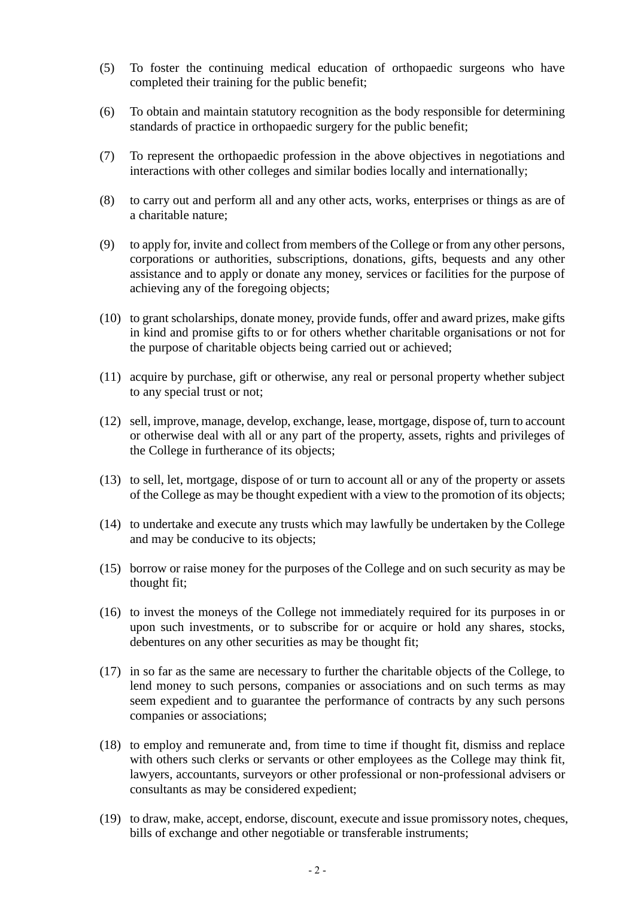- (5) To foster the continuing medical education of orthopaedic surgeons who have completed their training for the public benefit;
- (6) To obtain and maintain statutory recognition as the body responsible for determining standards of practice in orthopaedic surgery for the public benefit;
- (7) To represent the orthopaedic profession in the above objectives in negotiations and interactions with other colleges and similar bodies locally and internationally;
- (8) to carry out and perform all and any other acts, works, enterprises or things as are of a charitable nature;
- (9) to apply for, invite and collect from members of the College or from any other persons, corporations or authorities, subscriptions, donations, gifts, bequests and any other assistance and to apply or donate any money, services or facilities for the purpose of achieving any of the foregoing objects;
- (10) to grant scholarships, donate money, provide funds, offer and award prizes, make gifts in kind and promise gifts to or for others whether charitable organisations or not for the purpose of charitable objects being carried out or achieved;
- (11) acquire by purchase, gift or otherwise, any real or personal property whether subject to any special trust or not;
- (12) sell, improve, manage, develop, exchange, lease, mortgage, dispose of, turn to account or otherwise deal with all or any part of the property, assets, rights and privileges of the College in furtherance of its objects;
- (13) to sell, let, mortgage, dispose of or turn to account all or any of the property or assets of the College as may be thought expedient with a view to the promotion of its objects;
- (14) to undertake and execute any trusts which may lawfully be undertaken by the College and may be conducive to its objects;
- (15) borrow or raise money for the purposes of the College and on such security as may be thought fit;
- (16) to invest the moneys of the College not immediately required for its purposes in or upon such investments, or to subscribe for or acquire or hold any shares, stocks, debentures on any other securities as may be thought fit;
- (17) in so far as the same are necessary to further the charitable objects of the College, to lend money to such persons, companies or associations and on such terms as may seem expedient and to guarantee the performance of contracts by any such persons companies or associations;
- (18) to employ and remunerate and, from time to time if thought fit, dismiss and replace with others such clerks or servants or other employees as the College may think fit, lawyers, accountants, surveyors or other professional or non-professional advisers or consultants as may be considered expedient;
- (19) to draw, make, accept, endorse, discount, execute and issue promissory notes, cheques, bills of exchange and other negotiable or transferable instruments;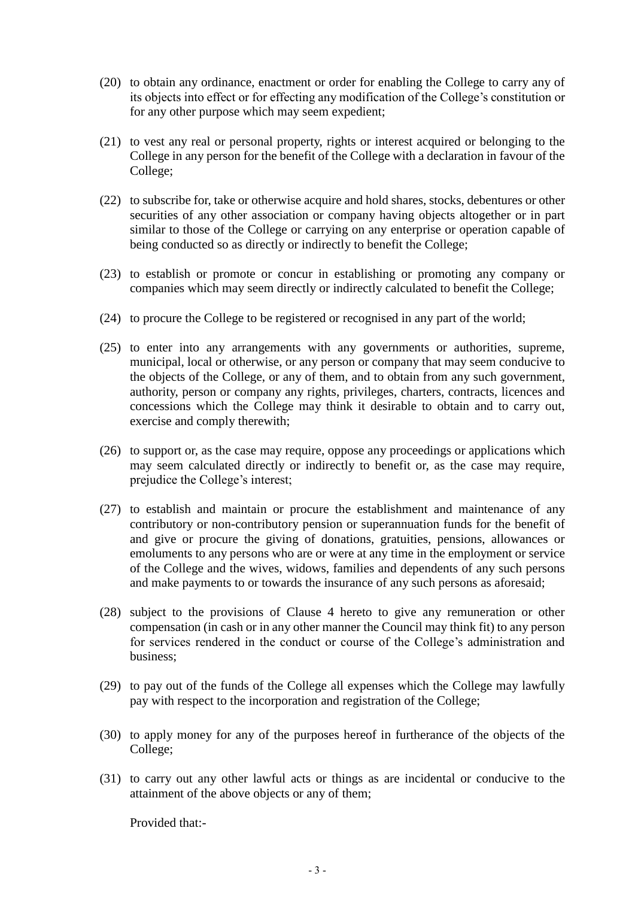- (20) to obtain any ordinance, enactment or order for enabling the College to carry any of its objects into effect or for effecting any modification of the College's constitution or for any other purpose which may seem expedient;
- (21) to vest any real or personal property, rights or interest acquired or belonging to the College in any person for the benefit of the College with a declaration in favour of the College;
- (22) to subscribe for, take or otherwise acquire and hold shares, stocks, debentures or other securities of any other association or company having objects altogether or in part similar to those of the College or carrying on any enterprise or operation capable of being conducted so as directly or indirectly to benefit the College;
- (23) to establish or promote or concur in establishing or promoting any company or companies which may seem directly or indirectly calculated to benefit the College;
- (24) to procure the College to be registered or recognised in any part of the world;
- (25) to enter into any arrangements with any governments or authorities, supreme, municipal, local or otherwise, or any person or company that may seem conducive to the objects of the College, or any of them, and to obtain from any such government, authority, person or company any rights, privileges, charters, contracts, licences and concessions which the College may think it desirable to obtain and to carry out, exercise and comply therewith;
- (26) to support or, as the case may require, oppose any proceedings or applications which may seem calculated directly or indirectly to benefit or, as the case may require, prejudice the College's interest;
- (27) to establish and maintain or procure the establishment and maintenance of any contributory or non-contributory pension or superannuation funds for the benefit of and give or procure the giving of donations, gratuities, pensions, allowances or emoluments to any persons who are or were at any time in the employment or service of the College and the wives, widows, families and dependents of any such persons and make payments to or towards the insurance of any such persons as aforesaid;
- (28) subject to the provisions of Clause 4 hereto to give any remuneration or other compensation (in cash or in any other manner the Council may think fit) to any person for services rendered in the conduct or course of the College's administration and business;
- (29) to pay out of the funds of the College all expenses which the College may lawfully pay with respect to the incorporation and registration of the College;
- (30) to apply money for any of the purposes hereof in furtherance of the objects of the College;
- (31) to carry out any other lawful acts or things as are incidental or conducive to the attainment of the above objects or any of them;

Provided that:-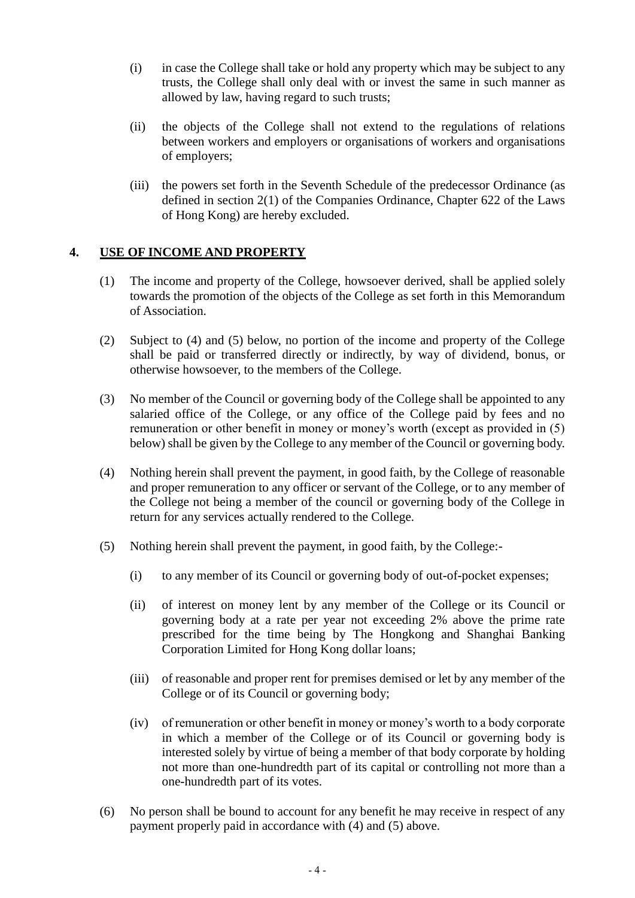- (i) in case the College shall take or hold any property which may be subject to any trusts, the College shall only deal with or invest the same in such manner as allowed by law, having regard to such trusts;
- (ii) the objects of the College shall not extend to the regulations of relations between workers and employers or organisations of workers and organisations of employers;
- (iii) the powers set forth in the Seventh Schedule of the predecessor Ordinance (as defined in section 2(1) of the Companies Ordinance, Chapter 622 of the Laws of Hong Kong) are hereby excluded.

# **4. USE OF INCOME AND PROPERTY**

- (1) The income and property of the College, howsoever derived, shall be applied solely towards the promotion of the objects of the College as set forth in this Memorandum of Association.
- (2) Subject to (4) and (5) below, no portion of the income and property of the College shall be paid or transferred directly or indirectly, by way of dividend, bonus, or otherwise howsoever, to the members of the College.
- (3) No member of the Council or governing body of the College shall be appointed to any salaried office of the College, or any office of the College paid by fees and no remuneration or other benefit in money or money's worth (except as provided in (5) below) shall be given by the College to any member of the Council or governing body.
- (4) Nothing herein shall prevent the payment, in good faith, by the College of reasonable and proper remuneration to any officer or servant of the College, or to any member of the College not being a member of the council or governing body of the College in return for any services actually rendered to the College.
- (5) Nothing herein shall prevent the payment, in good faith, by the College:-
	- (i) to any member of its Council or governing body of out-of-pocket expenses;
	- (ii) of interest on money lent by any member of the College or its Council or governing body at a rate per year not exceeding 2% above the prime rate prescribed for the time being by The Hongkong and Shanghai Banking Corporation Limited for Hong Kong dollar loans;
	- (iii) of reasonable and proper rent for premises demised or let by any member of the College or of its Council or governing body;
	- (iv) of remuneration or other benefit in money or money's worth to a body corporate in which a member of the College or of its Council or governing body is interested solely by virtue of being a member of that body corporate by holding not more than one-hundredth part of its capital or controlling not more than a one-hundredth part of its votes.
- (6) No person shall be bound to account for any benefit he may receive in respect of any payment properly paid in accordance with (4) and (5) above.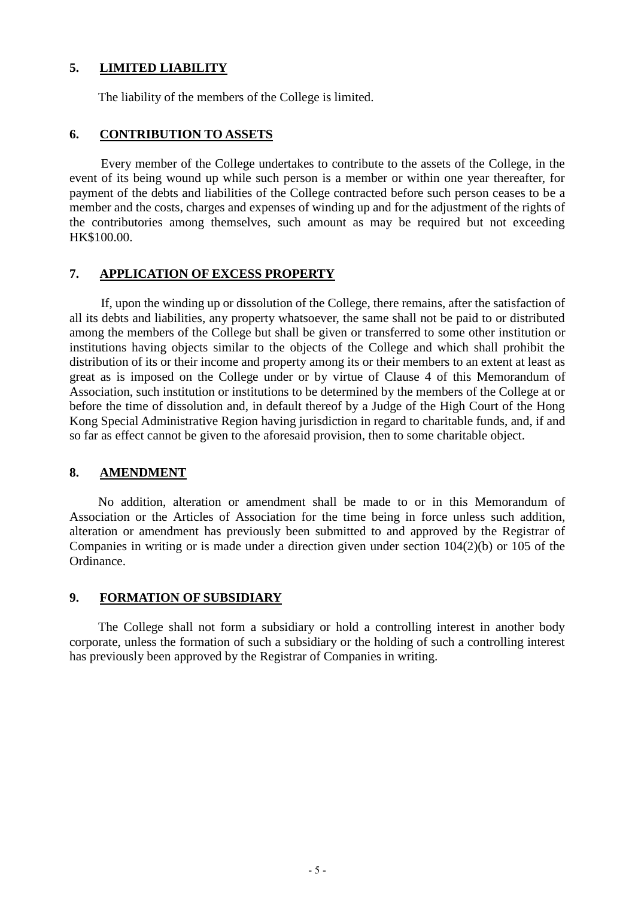## **5. LIMITED LIABILITY**

The liability of the members of the College is limited.

#### **6. CONTRIBUTION TO ASSETS**

Every member of the College undertakes to contribute to the assets of the College, in the event of its being wound up while such person is a member or within one year thereafter, for payment of the debts and liabilities of the College contracted before such person ceases to be a member and the costs, charges and expenses of winding up and for the adjustment of the rights of the contributories among themselves, such amount as may be required but not exceeding HK\$100.00.

# **7. APPLICATION OF EXCESS PROPERTY**

If, upon the winding up or dissolution of the College, there remains, after the satisfaction of all its debts and liabilities, any property whatsoever, the same shall not be paid to or distributed among the members of the College but shall be given or transferred to some other institution or institutions having objects similar to the objects of the College and which shall prohibit the distribution of its or their income and property among its or their members to an extent at least as great as is imposed on the College under or by virtue of Clause 4 of this Memorandum of Association, such institution or institutions to be determined by the members of the College at or before the time of dissolution and, in default thereof by a Judge of the High Court of the Hong Kong Special Administrative Region having jurisdiction in regard to charitable funds, and, if and so far as effect cannot be given to the aforesaid provision, then to some charitable object.

#### **8. AMENDMENT**

No addition, alteration or amendment shall be made to or in this Memorandum of Association or the Articles of Association for the time being in force unless such addition, alteration or amendment has previously been submitted to and approved by the Registrar of Companies in writing or is made under a direction given under section 104(2)(b) or 105 of the Ordinance.

### **9. FORMATION OF SUBSIDIARY**

The College shall not form a subsidiary or hold a controlling interest in another body corporate, unless the formation of such a subsidiary or the holding of such a controlling interest has previously been approved by the Registrar of Companies in writing.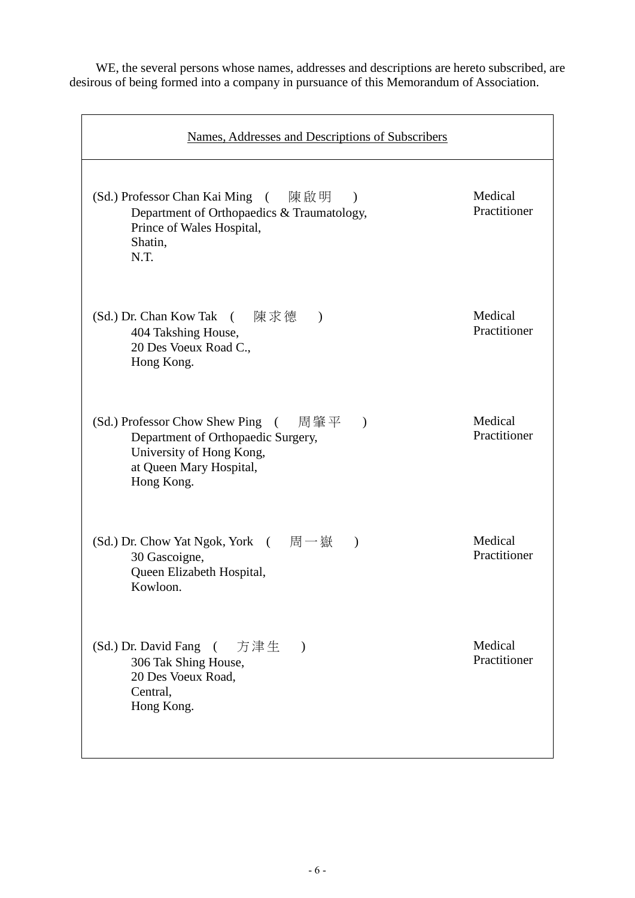WE, the several persons whose names, addresses and descriptions are hereto subscribed, are desirous of being formed into a company in pursuance of this Memorandum of Association.

| Names, Addresses and Descriptions of Subscribers                                                                                                                                |                         |
|---------------------------------------------------------------------------------------------------------------------------------------------------------------------------------|-------------------------|
| (Sd.) Professor Chan Kai Ming (陳啟明<br>$\mathcal{L}$<br>Department of Orthopaedics & Traumatology,<br>Prince of Wales Hospital,<br>Shatin,<br>N.T.                               | Medical<br>Practitioner |
| (Sd.) Dr. Chan Kow Tak (陳求德)<br>404 Takshing House,<br>20 Des Voeux Road C.,<br>Hong Kong.                                                                                      | Medical<br>Practitioner |
| 周肇平<br>(Sd.) Professor Chow Shew Ping<br>$\overline{a}$<br>$\lambda$<br>Department of Orthopaedic Surgery,<br>University of Hong Kong,<br>at Queen Mary Hospital,<br>Hong Kong. | Medical<br>Practitioner |
| (Sd.) Dr. Chow Yat Ngok, York (同一嶽<br>$\lambda$<br>30 Gascoigne,<br>Queen Elizabeth Hospital,<br>Kowloon.                                                                       | Medical<br>Practitioner |
| (Sd.) Dr. David Fang<br>方津生 )<br>$\sqrt{2}$<br>306 Tak Shing House,<br>20 Des Voeux Road,<br>Central,<br>Hong Kong.                                                             | Medical<br>Practitioner |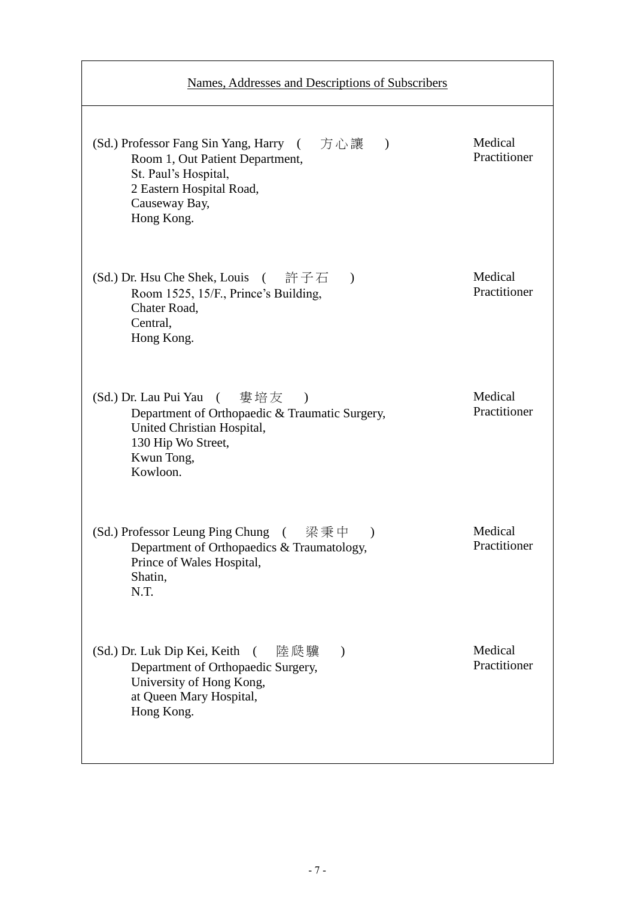| Names, Addresses and Descriptions of Subscribers                                                                                                                                |                         |
|---------------------------------------------------------------------------------------------------------------------------------------------------------------------------------|-------------------------|
| (Sd.) Professor Fang Sin Yang, Harry (方心讓)<br>Room 1, Out Patient Department,<br>St. Paul's Hospital,<br>2 Eastern Hospital Road,<br>Causeway Bay,<br>Hong Kong.                | Medical<br>Practitioner |
| (Sd.) Dr. Hsu Che Shek, Louis (許子石<br>$\mathcal{L}$<br>Room 1525, 15/F., Prince's Building,<br>Chater Road,<br>Central,<br>Hong Kong.                                           | Medical<br>Practitioner |
| (Sd.) Dr. Lau Pui Yau<br>( 婁培友<br>$\mathcal{E}$<br>Department of Orthopaedic & Traumatic Surgery,<br>United Christian Hospital,<br>130 Hip Wo Street,<br>Kwun Tong,<br>Kowloon. | Medical<br>Practitioner |
| (Sd.) Professor Leung Ping Chung (梁秉中<br>$\lambda$<br>Department of Orthopaedics & Traumatology,<br>Prince of Wales Hospital,<br>Shatin,<br>N.T.                                | Medical<br>Practitioner |
| (Sd.) Dr. Luk Dip Kei, Keith<br>陸瓞驥<br>$\left($<br>$\mathcal{E}$<br>Department of Orthopaedic Surgery,<br>University of Hong Kong,<br>at Queen Mary Hospital,<br>Hong Kong.     | Medical<br>Practitioner |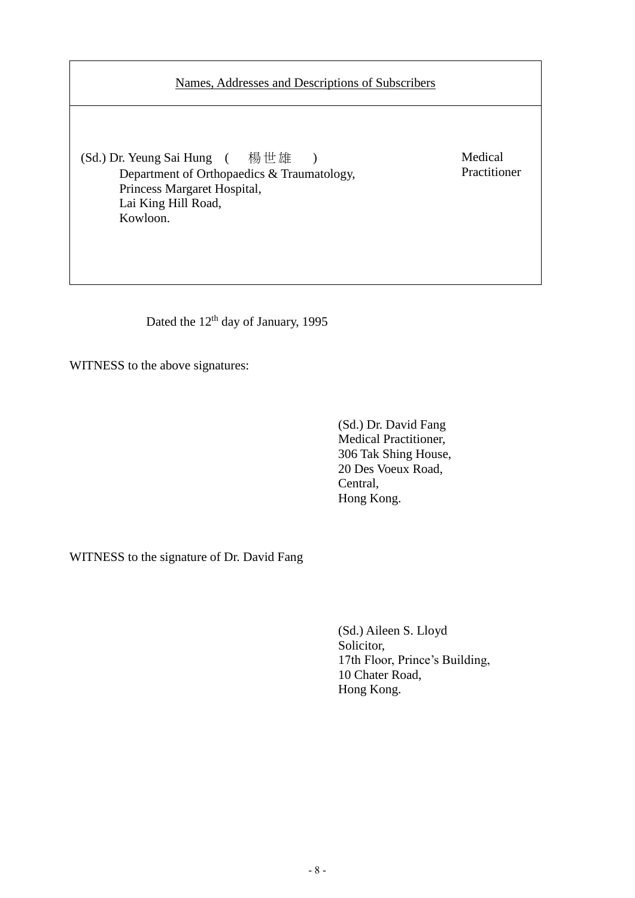# Names, Addresses and Descriptions of Subscribers

(Sd.) Dr. Yeung Sai Hung ( 楊世雄 ) Department of Orthopaedics & Traumatology, Princess Margaret Hospital, Lai King Hill Road, Kowloon.

Medical Practitioner

Dated the 12<sup>th</sup> day of January, 1995

WITNESS to the above signatures:

(Sd.) Dr. David Fang Medical Practitioner, 306 Tak Shing House, 20 Des Voeux Road, Central, Hong Kong.

WITNESS to the signature of Dr. David Fang

(Sd.) Aileen S. Lloyd Solicitor, 17th Floor, Prince's Building, 10 Chater Road, Hong Kong.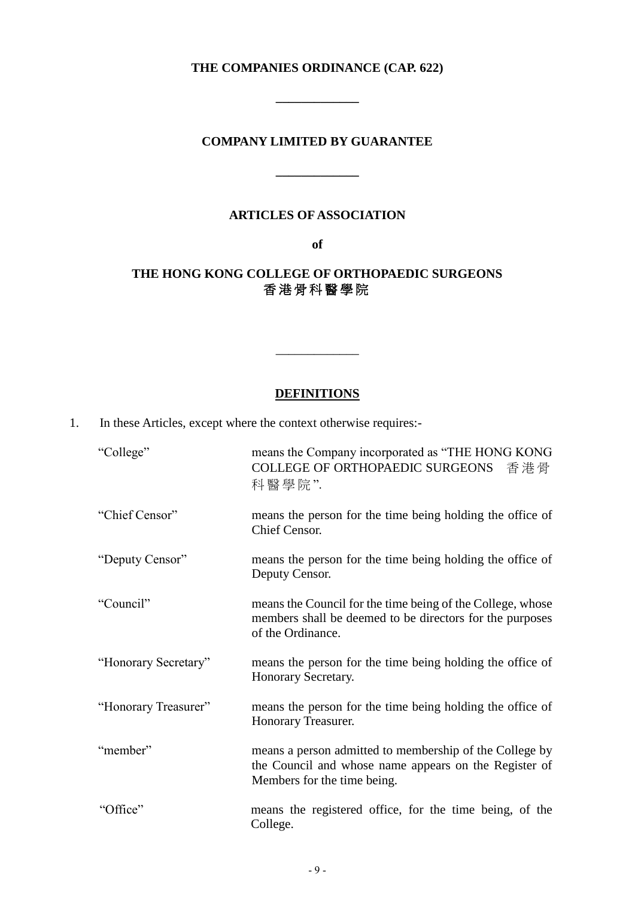# **THE COMPANIES ORDINANCE (CAP. 622)**

**\_\_\_\_\_\_\_\_\_\_\_\_\_**

#### **COMPANY LIMITED BY GUARANTEE**

**\_\_\_\_\_\_\_\_\_\_\_\_\_**

#### **ARTICLES OF ASSOCIATION**

**of**

# **THE HONG KONG COLLEGE OF ORTHOPAEDIC SURGEONS** 香 港 骨 科 醫 學 院

# **DEFINITIONS**

\_\_\_\_\_\_\_\_\_\_\_\_\_

1. In these Articles, except where the context otherwise requires:-

| "College"            | means the Company incorporated as "THE HONG KONG<br>COLLEGE OF ORTHOPAEDIC SURGEONS<br>香港骨<br>科醫學院".                                            |
|----------------------|-------------------------------------------------------------------------------------------------------------------------------------------------|
| "Chief Censor"       | means the person for the time being holding the office of<br>Chief Censor.                                                                      |
| "Deputy Censor"      | means the person for the time being holding the office of<br>Deputy Censor.                                                                     |
| "Council"            | means the Council for the time being of the College, whose<br>members shall be deemed to be directors for the purposes<br>of the Ordinance.     |
| "Honorary Secretary" | means the person for the time being holding the office of<br>Honorary Secretary.                                                                |
| "Honorary Treasurer" | means the person for the time being holding the office of<br>Honorary Treasurer.                                                                |
| "member"             | means a person admitted to membership of the College by<br>the Council and whose name appears on the Register of<br>Members for the time being. |
| "Office"             | means the registered office, for the time being, of the<br>College.                                                                             |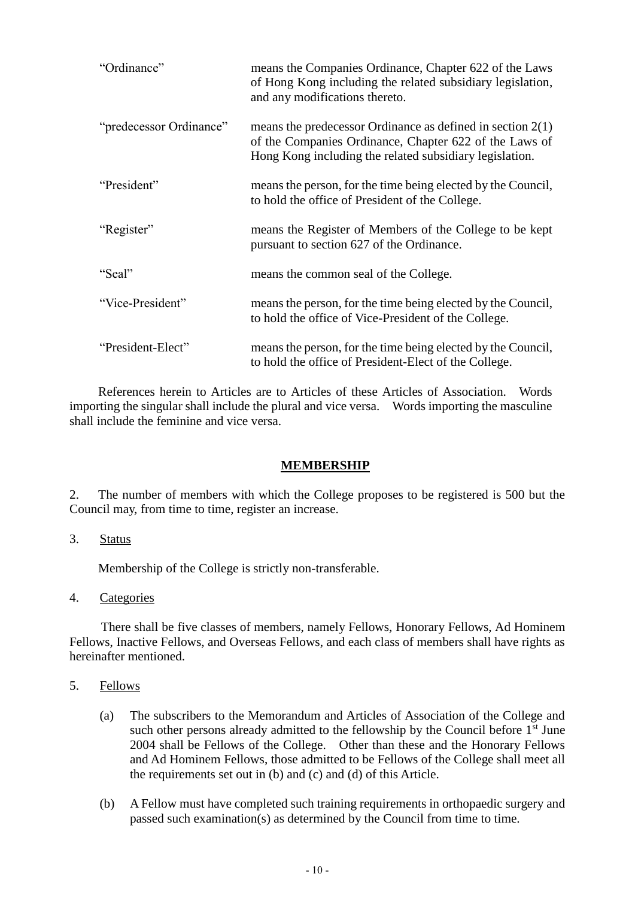| "Ordinance"             | means the Companies Ordinance, Chapter 622 of the Laws<br>of Hong Kong including the related subsidiary legislation,<br>and any modifications thereto.                            |
|-------------------------|-----------------------------------------------------------------------------------------------------------------------------------------------------------------------------------|
| "predecessor Ordinance" | means the predecessor Ordinance as defined in section $2(1)$<br>of the Companies Ordinance, Chapter 622 of the Laws of<br>Hong Kong including the related subsidiary legislation. |
| "President"             | means the person, for the time being elected by the Council,<br>to hold the office of President of the College.                                                                   |
| "Register"              | means the Register of Members of the College to be kept<br>pursuant to section 627 of the Ordinance.                                                                              |
| "Seal"                  | means the common seal of the College.                                                                                                                                             |
| "Vice-President"        | means the person, for the time being elected by the Council,<br>to hold the office of Vice-President of the College.                                                              |
| "President-Elect"       | means the person, for the time being elected by the Council,<br>to hold the office of President-Elect of the College.                                                             |

References herein to Articles are to Articles of these Articles of Association. Words importing the singular shall include the plural and vice versa. Words importing the masculine shall include the feminine and vice versa.

#### **MEMBERSHIP**

2. The number of members with which the College proposes to be registered is 500 but the Council may, from time to time, register an increase.

#### 3. Status

Membership of the College is strictly non-transferable.

4. Categories

There shall be five classes of members, namely Fellows, Honorary Fellows, Ad Hominem Fellows, Inactive Fellows, and Overseas Fellows, and each class of members shall have rights as hereinafter mentioned.

- 5. Fellows
	- (a) The subscribers to the Memorandum and Articles of Association of the College and such other persons already admitted to the fellowship by the Council before  $1<sup>st</sup>$  June 2004 shall be Fellows of the College. Other than these and the Honorary Fellows and Ad Hominem Fellows, those admitted to be Fellows of the College shall meet all the requirements set out in (b) and (c) and (d) of this Article.
	- (b) A Fellow must have completed such training requirements in orthopaedic surgery and passed such examination(s) as determined by the Council from time to time.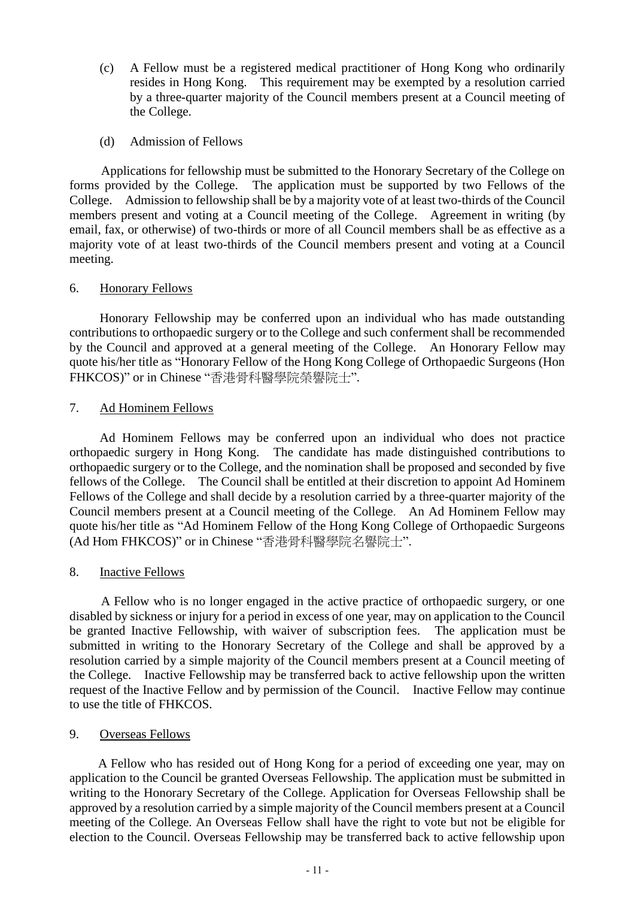- (c) A Fellow must be a registered medical practitioner of Hong Kong who ordinarily resides in Hong Kong. This requirement may be exempted by a resolution carried by a three-quarter majority of the Council members present at a Council meeting of the College.
- (d) Admission of Fellows

Applications for fellowship must be submitted to the Honorary Secretary of the College on forms provided by the College. The application must be supported by two Fellows of the College. Admission to fellowship shall be by a majority vote of at least two-thirds of the Council members present and voting at a Council meeting of the College. Agreement in writing (by email, fax, or otherwise) of two-thirds or more of all Council members shall be as effective as a majority vote of at least two-thirds of the Council members present and voting at a Council meeting.

#### 6. Honorary Fellows

Honorary Fellowship may be conferred upon an individual who has made outstanding contributions to orthopaedic surgery or to the College and such conferment shall be recommended by the Council and approved at a general meeting of the College. An Honorary Fellow may quote his/her title as "Honorary Fellow of the Hong Kong College of Orthopaedic Surgeons (Hon FHKCOS)" or in Chinese "香港骨科醫學院榮譽院士".

### 7. Ad Hominem Fellows

Ad Hominem Fellows may be conferred upon an individual who does not practice orthopaedic surgery in Hong Kong. The candidate has made distinguished contributions to orthopaedic surgery or to the College, and the nomination shall be proposed and seconded by five fellows of the College. The Council shall be entitled at their discretion to appoint Ad Hominem Fellows of the College and shall decide by a resolution carried by a three-quarter majority of the Council members present at a Council meeting of the College. An Ad Hominem Fellow may quote his/her title as "Ad Hominem Fellow of the Hong Kong College of Orthopaedic Surgeons (Ad Hom FHKCOS)" or in Chinese "香港骨科醫學院名譽院士".

### 8. Inactive Fellows

A Fellow who is no longer engaged in the active practice of orthopaedic surgery, or one disabled by sickness or injury for a period in excess of one year, may on application to the Council be granted Inactive Fellowship, with waiver of subscription fees. The application must be submitted in writing to the Honorary Secretary of the College and shall be approved by a resolution carried by a simple majority of the Council members present at a Council meeting of the College. Inactive Fellowship may be transferred back to active fellowship upon the written request of the Inactive Fellow and by permission of the Council. Inactive Fellow may continue to use the title of FHKCOS.

### 9. Overseas Fellows

A Fellow who has resided out of Hong Kong for a period of exceeding one year, may on application to the Council be granted Overseas Fellowship. The application must be submitted in writing to the Honorary Secretary of the College. Application for Overseas Fellowship shall be approved by a resolution carried by a simple majority of the Council members present at a Council meeting of the College. An Overseas Fellow shall have the right to vote but not be eligible for election to the Council. Overseas Fellowship may be transferred back to active fellowship upon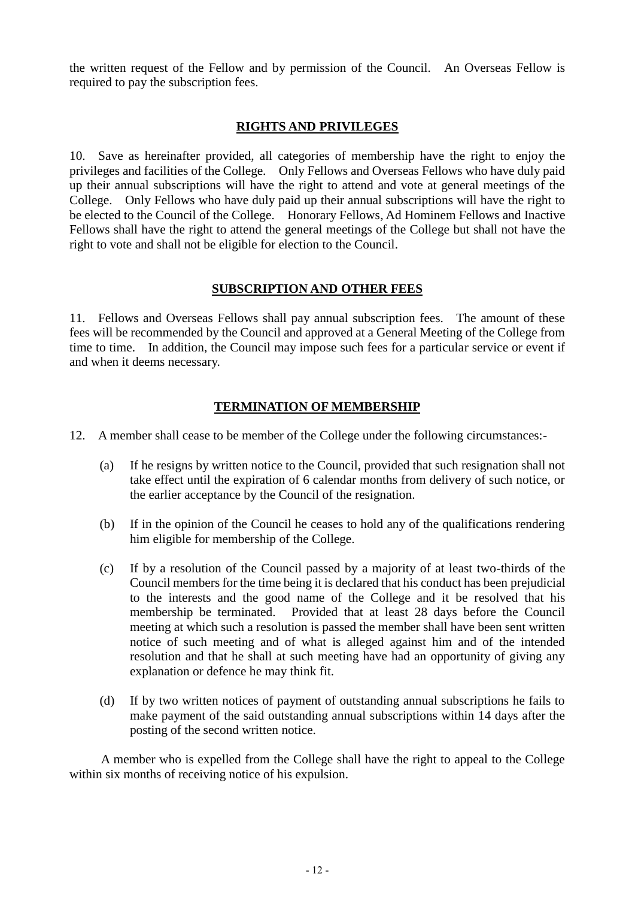the written request of the Fellow and by permission of the Council. An Overseas Fellow is required to pay the subscription fees.

#### **RIGHTS AND PRIVILEGES**

10. Save as hereinafter provided, all categories of membership have the right to enjoy the privileges and facilities of the College. Only Fellows and Overseas Fellows who have duly paid up their annual subscriptions will have the right to attend and vote at general meetings of the College. Only Fellows who have duly paid up their annual subscriptions will have the right to be elected to the Council of the College. Honorary Fellows, Ad Hominem Fellows and Inactive Fellows shall have the right to attend the general meetings of the College but shall not have the right to vote and shall not be eligible for election to the Council.

#### **SUBSCRIPTION AND OTHER FEES**

11. Fellows and Overseas Fellows shall pay annual subscription fees. The amount of these fees will be recommended by the Council and approved at a General Meeting of the College from time to time. In addition, the Council may impose such fees for a particular service or event if and when it deems necessary.

### **TERMINATION OF MEMBERSHIP**

- 12. A member shall cease to be member of the College under the following circumstances:-
	- (a) If he resigns by written notice to the Council, provided that such resignation shall not take effect until the expiration of 6 calendar months from delivery of such notice, or the earlier acceptance by the Council of the resignation.
	- (b) If in the opinion of the Council he ceases to hold any of the qualifications rendering him eligible for membership of the College.
	- (c) If by a resolution of the Council passed by a majority of at least two-thirds of the Council members for the time being it is declared that his conduct has been prejudicial to the interests and the good name of the College and it be resolved that his membership be terminated. Provided that at least 28 days before the Council meeting at which such a resolution is passed the member shall have been sent written notice of such meeting and of what is alleged against him and of the intended resolution and that he shall at such meeting have had an opportunity of giving any explanation or defence he may think fit.
	- (d) If by two written notices of payment of outstanding annual subscriptions he fails to make payment of the said outstanding annual subscriptions within 14 days after the posting of the second written notice.

A member who is expelled from the College shall have the right to appeal to the College within six months of receiving notice of his expulsion.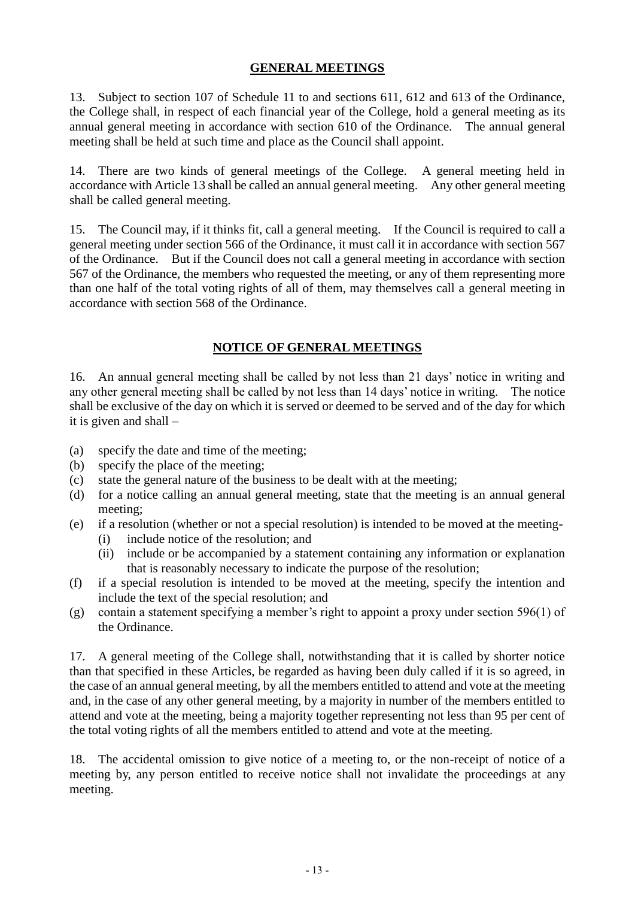# **GENERAL MEETINGS**

13. Subject to section 107 of Schedule 11 to and sections 611, 612 and 613 of the Ordinance, the College shall, in respect of each financial year of the College, hold a general meeting as its annual general meeting in accordance with section 610 of the Ordinance. The annual general meeting shall be held at such time and place as the Council shall appoint.

14. There are two kinds of general meetings of the College. A general meeting held in accordance with Article 13 shall be called an annual general meeting. Any other general meeting shall be called general meeting.

15. The Council may, if it thinks fit, call a general meeting. If the Council is required to call a general meeting under section 566 of the Ordinance, it must call it in accordance with section 567 of the Ordinance. But if the Council does not call a general meeting in accordance with section 567 of the Ordinance, the members who requested the meeting, or any of them representing more than one half of the total voting rights of all of them, may themselves call a general meeting in accordance with section 568 of the Ordinance.

# **NOTICE OF GENERAL MEETINGS**

16. An annual general meeting shall be called by not less than 21 days' notice in writing and any other general meeting shall be called by not less than 14 days' notice in writing. The notice shall be exclusive of the day on which it is served or deemed to be served and of the day for which it is given and shall –

- (a) specify the date and time of the meeting;
- (b) specify the place of the meeting;
- (c) state the general nature of the business to be dealt with at the meeting;
- (d) for a notice calling an annual general meeting, state that the meeting is an annual general meeting;
- (e) if a resolution (whether or not a special resolution) is intended to be moved at the meeting-
	- (i) include notice of the resolution; and
	- (ii) include or be accompanied by a statement containing any information or explanation that is reasonably necessary to indicate the purpose of the resolution;
- (f) if a special resolution is intended to be moved at the meeting, specify the intention and include the text of the special resolution; and
- (g) contain a statement specifying a member's right to appoint a proxy under section 596(1) of the Ordinance.

17. A general meeting of the College shall, notwithstanding that it is called by shorter notice than that specified in these Articles, be regarded as having been duly called if it is so agreed, in the case of an annual general meeting, by all the members entitled to attend and vote at the meeting and, in the case of any other general meeting, by a majority in number of the members entitled to attend and vote at the meeting, being a majority together representing not less than 95 per cent of the total voting rights of all the members entitled to attend and vote at the meeting.

18. The accidental omission to give notice of a meeting to, or the non-receipt of notice of a meeting by, any person entitled to receive notice shall not invalidate the proceedings at any meeting.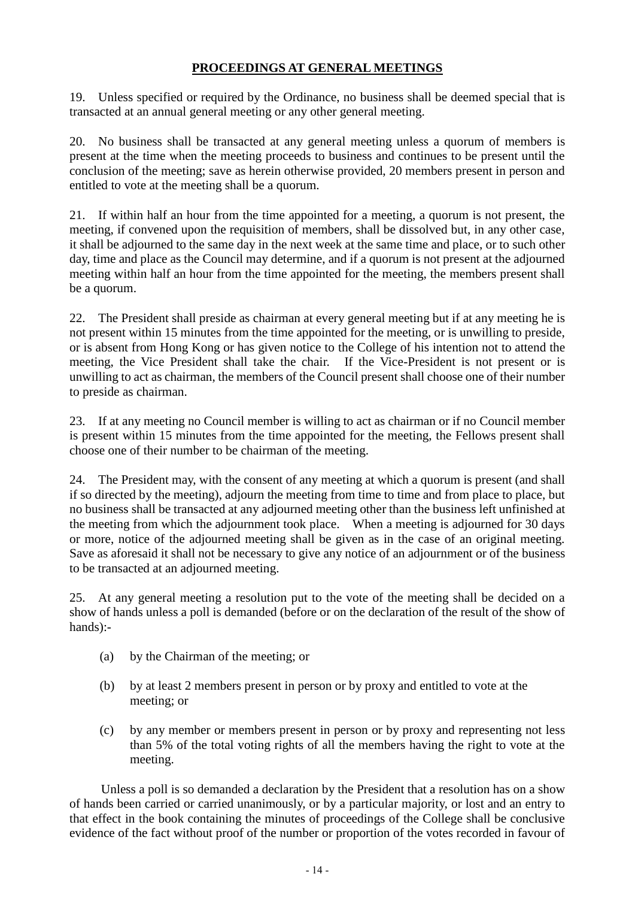# **PROCEEDINGS AT GENERAL MEETINGS**

19. Unless specified or required by the Ordinance, no business shall be deemed special that is transacted at an annual general meeting or any other general meeting.

20. No business shall be transacted at any general meeting unless a quorum of members is present at the time when the meeting proceeds to business and continues to be present until the conclusion of the meeting; save as herein otherwise provided, 20 members present in person and entitled to vote at the meeting shall be a quorum.

21. If within half an hour from the time appointed for a meeting, a quorum is not present, the meeting, if convened upon the requisition of members, shall be dissolved but, in any other case, it shall be adjourned to the same day in the next week at the same time and place, or to such other day, time and place as the Council may determine, and if a quorum is not present at the adjourned meeting within half an hour from the time appointed for the meeting, the members present shall be a quorum.

22. The President shall preside as chairman at every general meeting but if at any meeting he is not present within 15 minutes from the time appointed for the meeting, or is unwilling to preside, or is absent from Hong Kong or has given notice to the College of his intention not to attend the meeting, the Vice President shall take the chair. If the Vice-President is not present or is unwilling to act as chairman, the members of the Council present shall choose one of their number to preside as chairman.

23. If at any meeting no Council member is willing to act as chairman or if no Council member is present within 15 minutes from the time appointed for the meeting, the Fellows present shall choose one of their number to be chairman of the meeting.

24. The President may, with the consent of any meeting at which a quorum is present (and shall if so directed by the meeting), adjourn the meeting from time to time and from place to place, but no business shall be transacted at any adjourned meeting other than the business left unfinished at the meeting from which the adjournment took place. When a meeting is adjourned for 30 days or more, notice of the adjourned meeting shall be given as in the case of an original meeting. Save as aforesaid it shall not be necessary to give any notice of an adjournment or of the business to be transacted at an adjourned meeting.

25. At any general meeting a resolution put to the vote of the meeting shall be decided on a show of hands unless a poll is demanded (before or on the declaration of the result of the show of hands):-

- (a) by the Chairman of the meeting; or
- (b) by at least 2 members present in person or by proxy and entitled to vote at the meeting; or
- (c) by any member or members present in person or by proxy and representing not less than 5% of the total voting rights of all the members having the right to vote at the meeting.

Unless a poll is so demanded a declaration by the President that a resolution has on a show of hands been carried or carried unanimously, or by a particular majority, or lost and an entry to that effect in the book containing the minutes of proceedings of the College shall be conclusive evidence of the fact without proof of the number or proportion of the votes recorded in favour of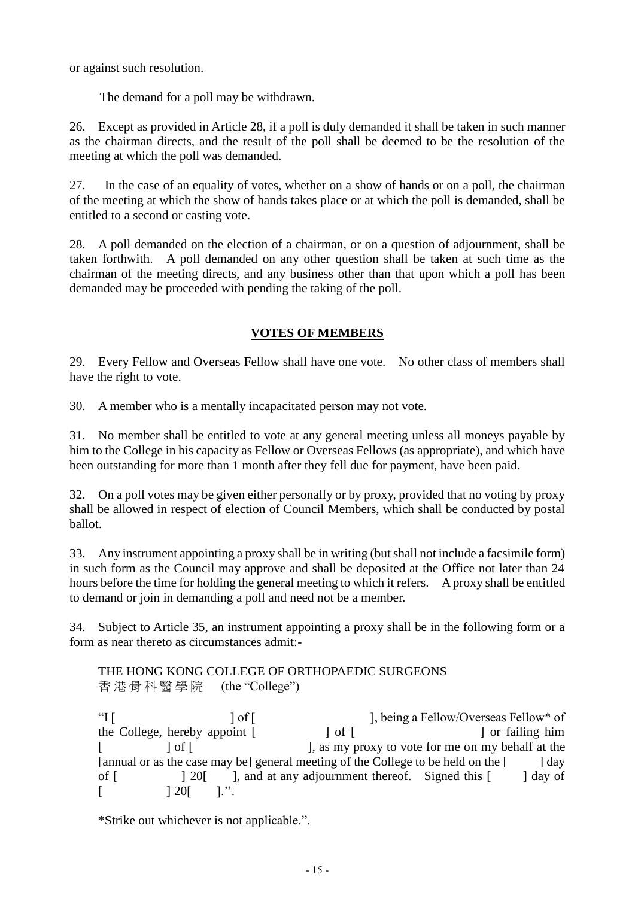or against such resolution.

The demand for a poll may be withdrawn.

26. Except as provided in Article 28, if a poll is duly demanded it shall be taken in such manner as the chairman directs, and the result of the poll shall be deemed to be the resolution of the meeting at which the poll was demanded.

27. In the case of an equality of votes, whether on a show of hands or on a poll, the chairman of the meeting at which the show of hands takes place or at which the poll is demanded, shall be entitled to a second or casting vote.

28. A poll demanded on the election of a chairman, or on a question of adjournment, shall be taken forthwith. A poll demanded on any other question shall be taken at such time as the chairman of the meeting directs, and any business other than that upon which a poll has been demanded may be proceeded with pending the taking of the poll.

# **VOTES OF MEMBERS**

29. Every Fellow and Overseas Fellow shall have one vote. No other class of members shall have the right to vote.

30. A member who is a mentally incapacitated person may not vote.

31. No member shall be entitled to vote at any general meeting unless all moneys payable by him to the College in his capacity as Fellow or Overseas Fellows (as appropriate), and which have been outstanding for more than 1 month after they fell due for payment, have been paid.

32. On a poll votes may be given either personally or by proxy, provided that no voting by proxy shall be allowed in respect of election of Council Members, which shall be conducted by postal ballot.

33. Any instrument appointing a proxy shall be in writing (but shall not include a facsimile form) in such form as the Council may approve and shall be deposited at the Office not later than 24 hours before the time for holding the general meeting to which it refers. A proxy shall be entitled to demand or join in demanding a poll and need not be a member.

34. Subject to Article 35, an instrument appointing a proxy shall be in the following form or a form as near thereto as circumstances admit:-

THE HONG KONG COLLEGE OF ORTHOPAEDIC SURGEONS 香港骨科醫學院 (the "College")

"I [  $\log^*$  of [  $\log^*$  ], being a Fellow/Overseas Fellow\* of the College, hereby appoint  $\begin{bmatrix} 1 & 0 \\ 0 & 1 \end{bmatrix}$  of  $\begin{bmatrix} 1 & 0 \\ 0 & 1 \end{bmatrix}$  or failing him [ ] of [ ], as my proxy to vote for me on my behalf at the [annual or as the case may be] general meeting of the College to be held on the [ ] day of [  $\qquad$  ] 20 [ ], and at any adjournment thereof. Signed this [ ] day of  $[$   $] 20[$   $]$ .".

\*Strike out whichever is not applicable.".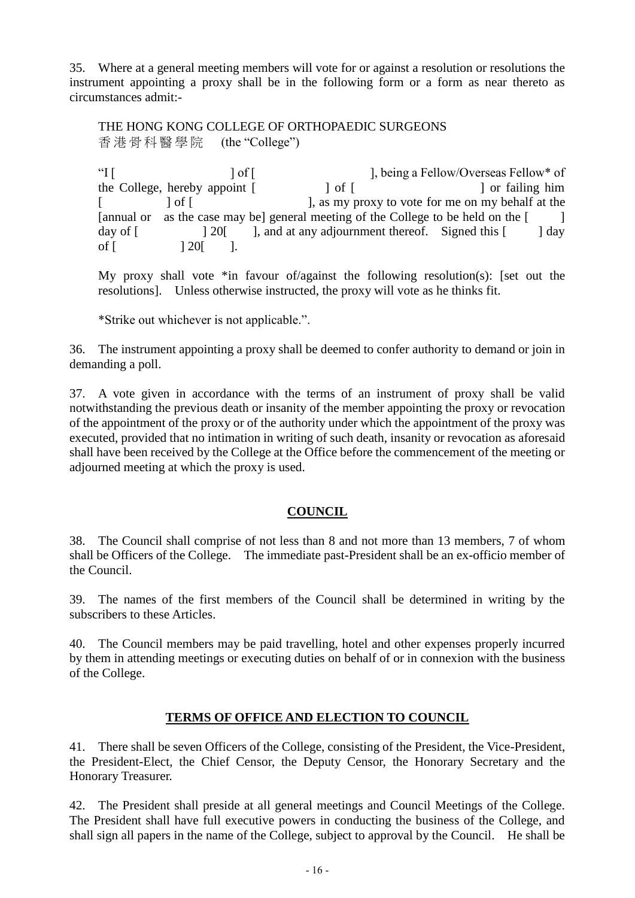35. Where at a general meeting members will vote for or against a resolution or resolutions the instrument appointing a proxy shall be in the following form or a form as near thereto as circumstances admit:-

THE HONG KONG COLLEGE OF ORTHOPAEDIC SURGEONS 香港骨科醫學院 (the "College")

"I [  $\log^*$  of [  $\log$  ] of [  $\log$  ], being a Fellow/Overseas Fellow\* of the College, hereby appoint [ ] of [ ] or failing him [  $\int$  of  $\int$   $\int$   $\int$   $\int$   $\int$   $\int$  as my proxy to vote for me on my behalf at the [annual or as the case may be] general meeting of the College to be held on the [ day of  $\lceil$  20<sup>[</sup> ], and at any adjournment thereof. Signed this  $\lceil$  1 day of  $[$   $] 20[$   $]$ .

My proxy shall vote \*in favour of/against the following resolution(s): [set out the resolutions]. Unless otherwise instructed, the proxy will vote as he thinks fit.

\*Strike out whichever is not applicable.".

36. The instrument appointing a proxy shall be deemed to confer authority to demand or join in demanding a poll.

37. A vote given in accordance with the terms of an instrument of proxy shall be valid notwithstanding the previous death or insanity of the member appointing the proxy or revocation of the appointment of the proxy or of the authority under which the appointment of the proxy was executed, provided that no intimation in writing of such death, insanity or revocation as aforesaid shall have been received by the College at the Office before the commencement of the meeting or adjourned meeting at which the proxy is used.

#### **COUNCIL**

38. The Council shall comprise of not less than 8 and not more than 13 members, 7 of whom shall be Officers of the College. The immediate past-President shall be an ex-officio member of the Council.

39. The names of the first members of the Council shall be determined in writing by the subscribers to these Articles.

40. The Council members may be paid travelling, hotel and other expenses properly incurred by them in attending meetings or executing duties on behalf of or in connexion with the business of the College.

#### **TERMS OF OFFICE AND ELECTION TO COUNCIL**

41. There shall be seven Officers of the College, consisting of the President, the Vice-President, the President-Elect, the Chief Censor, the Deputy Censor, the Honorary Secretary and the Honorary Treasurer.

42. The President shall preside at all general meetings and Council Meetings of the College. The President shall have full executive powers in conducting the business of the College, and shall sign all papers in the name of the College, subject to approval by the Council. He shall be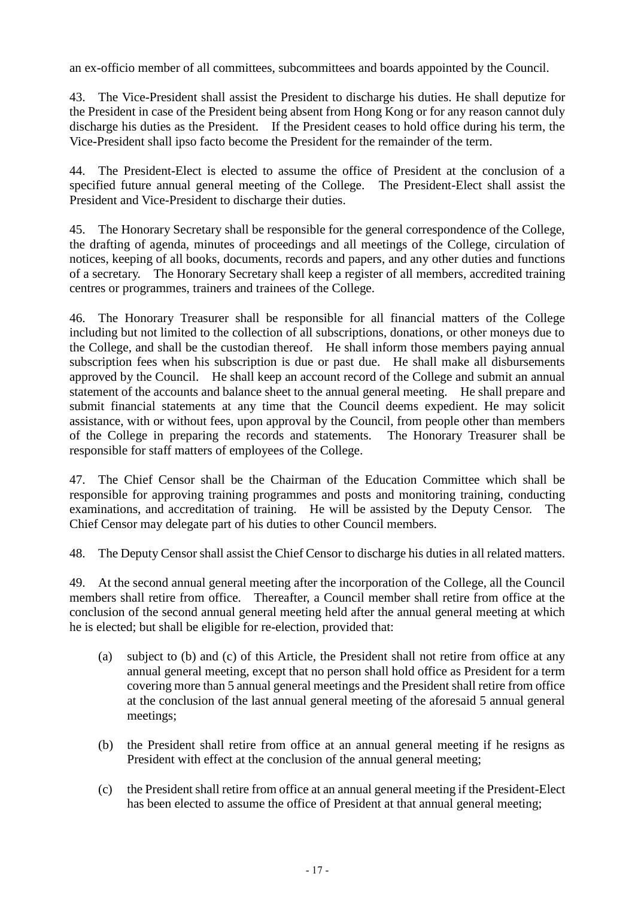an ex-officio member of all committees, subcommittees and boards appointed by the Council.

43. The Vice-President shall assist the President to discharge his duties. He shall deputize for the President in case of the President being absent from Hong Kong or for any reason cannot duly discharge his duties as the President. If the President ceases to hold office during his term, the Vice-President shall ipso facto become the President for the remainder of the term.

44. The President-Elect is elected to assume the office of President at the conclusion of a specified future annual general meeting of the College. The President-Elect shall assist the President and Vice-President to discharge their duties.

45. The Honorary Secretary shall be responsible for the general correspondence of the College, the drafting of agenda, minutes of proceedings and all meetings of the College, circulation of notices, keeping of all books, documents, records and papers, and any other duties and functions of a secretary. The Honorary Secretary shall keep a register of all members, accredited training centres or programmes, trainers and trainees of the College.

46. The Honorary Treasurer shall be responsible for all financial matters of the College including but not limited to the collection of all subscriptions, donations, or other moneys due to the College, and shall be the custodian thereof. He shall inform those members paying annual subscription fees when his subscription is due or past due. He shall make all disbursements approved by the Council. He shall keep an account record of the College and submit an annual statement of the accounts and balance sheet to the annual general meeting. He shall prepare and submit financial statements at any time that the Council deems expedient. He may solicit assistance, with or without fees, upon approval by the Council, from people other than members of the College in preparing the records and statements. The Honorary Treasurer shall be responsible for staff matters of employees of the College.

47. The Chief Censor shall be the Chairman of the Education Committee which shall be responsible for approving training programmes and posts and monitoring training, conducting examinations, and accreditation of training. He will be assisted by the Deputy Censor. The Chief Censor may delegate part of his duties to other Council members.

48. The Deputy Censor shall assist the Chief Censor to discharge his duties in all related matters.

49. At the second annual general meeting after the incorporation of the College, all the Council members shall retire from office. Thereafter, a Council member shall retire from office at the conclusion of the second annual general meeting held after the annual general meeting at which he is elected; but shall be eligible for re-election, provided that:

- (a) subject to (b) and (c) of this Article, the President shall not retire from office at any annual general meeting, except that no person shall hold office as President for a term covering more than 5 annual general meetings and the President shall retire from office at the conclusion of the last annual general meeting of the aforesaid 5 annual general meetings;
- (b) the President shall retire from office at an annual general meeting if he resigns as President with effect at the conclusion of the annual general meeting;
- (c) the President shall retire from office at an annual general meeting if the President-Elect has been elected to assume the office of President at that annual general meeting;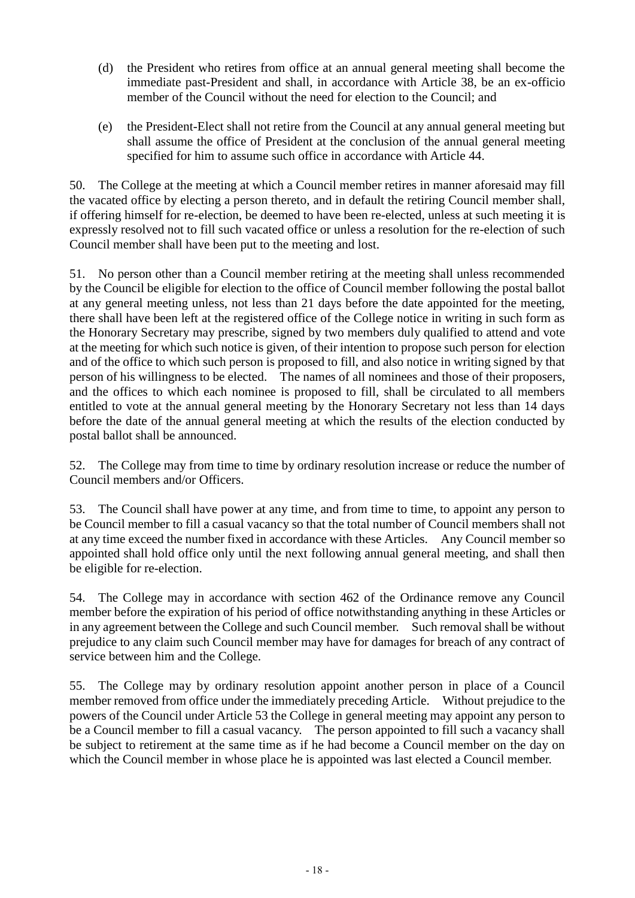- (d) the President who retires from office at an annual general meeting shall become the immediate past-President and shall, in accordance with Article 38, be an ex-officio member of the Council without the need for election to the Council; and
- (e) the President-Elect shall not retire from the Council at any annual general meeting but shall assume the office of President at the conclusion of the annual general meeting specified for him to assume such office in accordance with Article 44.

50. The College at the meeting at which a Council member retires in manner aforesaid may fill the vacated office by electing a person thereto, and in default the retiring Council member shall, if offering himself for re-election, be deemed to have been re-elected, unless at such meeting it is expressly resolved not to fill such vacated office or unless a resolution for the re-election of such Council member shall have been put to the meeting and lost.

51. No person other than a Council member retiring at the meeting shall unless recommended by the Council be eligible for election to the office of Council member following the postal ballot at any general meeting unless, not less than 21 days before the date appointed for the meeting, there shall have been left at the registered office of the College notice in writing in such form as the Honorary Secretary may prescribe, signed by two members duly qualified to attend and vote at the meeting for which such notice is given, of their intention to propose such person for election and of the office to which such person is proposed to fill, and also notice in writing signed by that person of his willingness to be elected. The names of all nominees and those of their proposers, and the offices to which each nominee is proposed to fill, shall be circulated to all members entitled to vote at the annual general meeting by the Honorary Secretary not less than 14 days before the date of the annual general meeting at which the results of the election conducted by postal ballot shall be announced.

52. The College may from time to time by ordinary resolution increase or reduce the number of Council members and/or Officers.

53. The Council shall have power at any time, and from time to time, to appoint any person to be Council member to fill a casual vacancy so that the total number of Council members shall not at any time exceed the number fixed in accordance with these Articles. Any Council member so appointed shall hold office only until the next following annual general meeting, and shall then be eligible for re-election.

54. The College may in accordance with section 462 of the Ordinance remove any Council member before the expiration of his period of office notwithstanding anything in these Articles or in any agreement between the College and such Council member. Such removal shall be without prejudice to any claim such Council member may have for damages for breach of any contract of service between him and the College.

55. The College may by ordinary resolution appoint another person in place of a Council member removed from office under the immediately preceding Article. Without prejudice to the powers of the Council under Article 53 the College in general meeting may appoint any person to be a Council member to fill a casual vacancy. The person appointed to fill such a vacancy shall be subject to retirement at the same time as if he had become a Council member on the day on which the Council member in whose place he is appointed was last elected a Council member.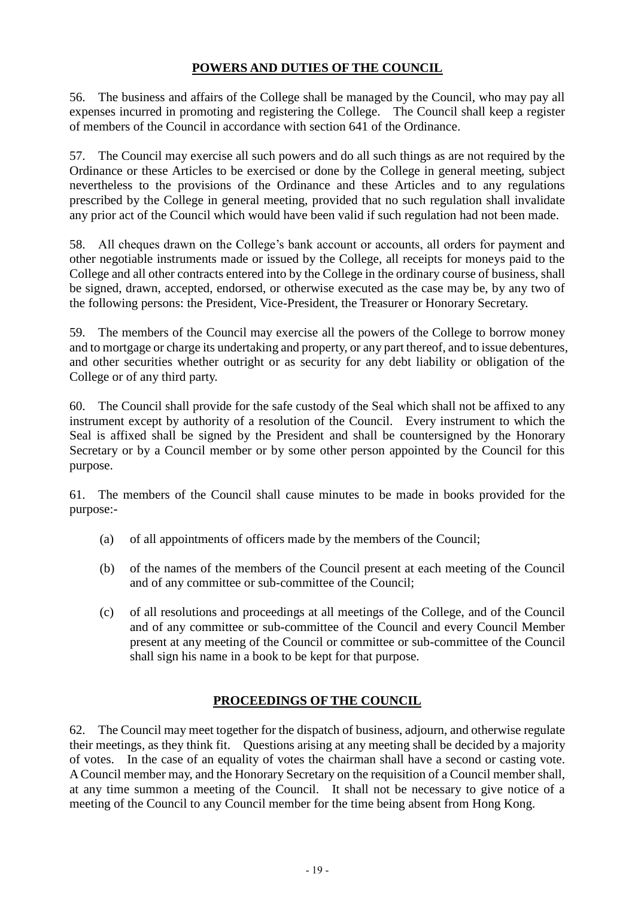# **POWERS AND DUTIES OF THE COUNCIL**

56. The business and affairs of the College shall be managed by the Council, who may pay all expenses incurred in promoting and registering the College. The Council shall keep a register of members of the Council in accordance with section 641 of the Ordinance.

57. The Council may exercise all such powers and do all such things as are not required by the Ordinance or these Articles to be exercised or done by the College in general meeting, subject nevertheless to the provisions of the Ordinance and these Articles and to any regulations prescribed by the College in general meeting, provided that no such regulation shall invalidate any prior act of the Council which would have been valid if such regulation had not been made.

58. All cheques drawn on the College's bank account or accounts, all orders for payment and other negotiable instruments made or issued by the College, all receipts for moneys paid to the College and all other contracts entered into by the College in the ordinary course of business, shall be signed, drawn, accepted, endorsed, or otherwise executed as the case may be, by any two of the following persons: the President, Vice-President, the Treasurer or Honorary Secretary.

59. The members of the Council may exercise all the powers of the College to borrow money and to mortgage or charge its undertaking and property, or any part thereof, and to issue debentures, and other securities whether outright or as security for any debt liability or obligation of the College or of any third party.

60. The Council shall provide for the safe custody of the Seal which shall not be affixed to any instrument except by authority of a resolution of the Council. Every instrument to which the Seal is affixed shall be signed by the President and shall be countersigned by the Honorary Secretary or by a Council member or by some other person appointed by the Council for this purpose.

61. The members of the Council shall cause minutes to be made in books provided for the purpose:-

- (a) of all appointments of officers made by the members of the Council;
- (b) of the names of the members of the Council present at each meeting of the Council and of any committee or sub-committee of the Council;
- (c) of all resolutions and proceedings at all meetings of the College, and of the Council and of any committee or sub-committee of the Council and every Council Member present at any meeting of the Council or committee or sub-committee of the Council shall sign his name in a book to be kept for that purpose.

### **PROCEEDINGS OF THE COUNCIL**

62. The Council may meet together for the dispatch of business, adjourn, and otherwise regulate their meetings, as they think fit. Questions arising at any meeting shall be decided by a majority of votes. In the case of an equality of votes the chairman shall have a second or casting vote. A Council member may, and the Honorary Secretary on the requisition of a Council member shall, at any time summon a meeting of the Council. It shall not be necessary to give notice of a meeting of the Council to any Council member for the time being absent from Hong Kong.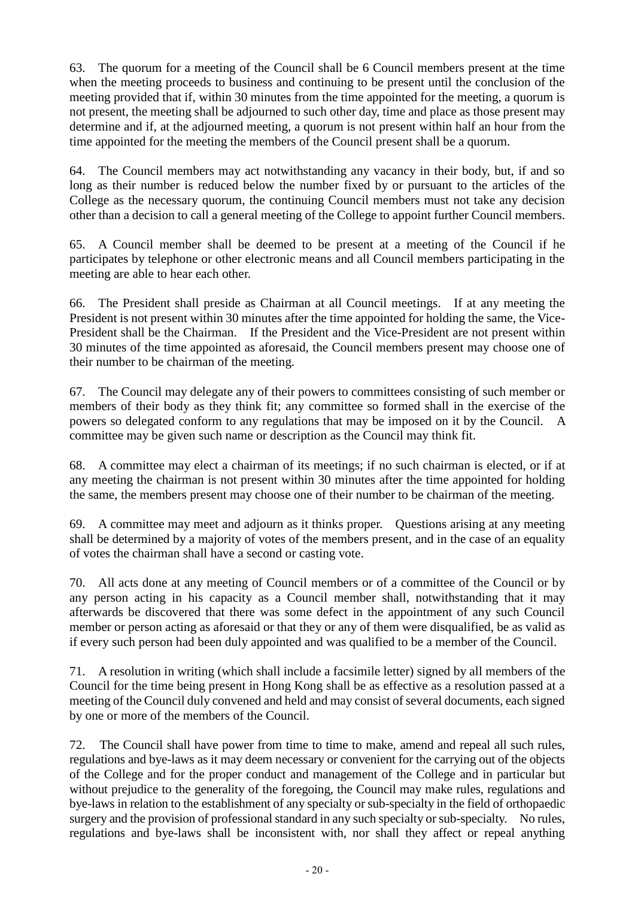63. The quorum for a meeting of the Council shall be 6 Council members present at the time when the meeting proceeds to business and continuing to be present until the conclusion of the meeting provided that if, within 30 minutes from the time appointed for the meeting, a quorum is not present, the meeting shall be adjourned to such other day, time and place as those present may determine and if, at the adjourned meeting, a quorum is not present within half an hour from the time appointed for the meeting the members of the Council present shall be a quorum.

64. The Council members may act notwithstanding any vacancy in their body, but, if and so long as their number is reduced below the number fixed by or pursuant to the articles of the College as the necessary quorum, the continuing Council members must not take any decision other than a decision to call a general meeting of the College to appoint further Council members.

65. A Council member shall be deemed to be present at a meeting of the Council if he participates by telephone or other electronic means and all Council members participating in the meeting are able to hear each other.

66. The President shall preside as Chairman at all Council meetings. If at any meeting the President is not present within 30 minutes after the time appointed for holding the same, the Vice-President shall be the Chairman. If the President and the Vice-President are not present within 30 minutes of the time appointed as aforesaid, the Council members present may choose one of their number to be chairman of the meeting.

67. The Council may delegate any of their powers to committees consisting of such member or members of their body as they think fit; any committee so formed shall in the exercise of the powers so delegated conform to any regulations that may be imposed on it by the Council. A committee may be given such name or description as the Council may think fit.

68. A committee may elect a chairman of its meetings; if no such chairman is elected, or if at any meeting the chairman is not present within 30 minutes after the time appointed for holding the same, the members present may choose one of their number to be chairman of the meeting.

69. A committee may meet and adjourn as it thinks proper. Questions arising at any meeting shall be determined by a majority of votes of the members present, and in the case of an equality of votes the chairman shall have a second or casting vote.

70. All acts done at any meeting of Council members or of a committee of the Council or by any person acting in his capacity as a Council member shall, notwithstanding that it may afterwards be discovered that there was some defect in the appointment of any such Council member or person acting as aforesaid or that they or any of them were disqualified, be as valid as if every such person had been duly appointed and was qualified to be a member of the Council.

71. A resolution in writing (which shall include a facsimile letter) signed by all members of the Council for the time being present in Hong Kong shall be as effective as a resolution passed at a meeting of the Council duly convened and held and may consist of several documents, each signed by one or more of the members of the Council.

72. The Council shall have power from time to time to make, amend and repeal all such rules, regulations and bye-laws as it may deem necessary or convenient for the carrying out of the objects of the College and for the proper conduct and management of the College and in particular but without prejudice to the generality of the foregoing, the Council may make rules, regulations and bye-laws in relation to the establishment of any specialty or sub-specialty in the field of orthopaedic surgery and the provision of professional standard in any such specialty or sub-specialty. No rules, regulations and bye-laws shall be inconsistent with, nor shall they affect or repeal anything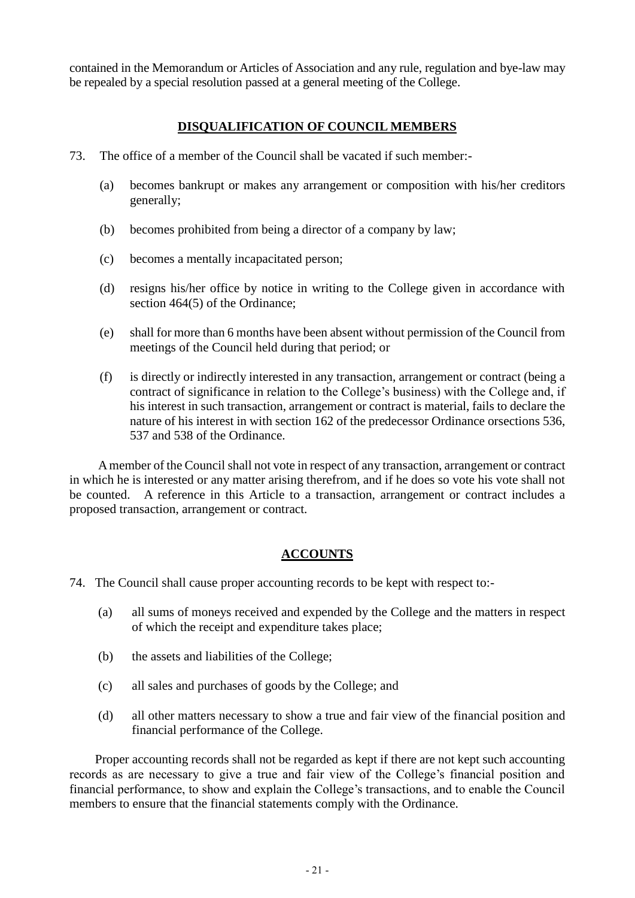contained in the Memorandum or Articles of Association and any rule, regulation and bye-law may be repealed by a special resolution passed at a general meeting of the College.

## **DISQUALIFICATION OF COUNCIL MEMBERS**

- 73. The office of a member of the Council shall be vacated if such member:-
	- (a) becomes bankrupt or makes any arrangement or composition with his/her creditors generally;
	- (b) becomes prohibited from being a director of a company by law;
	- (c) becomes a mentally incapacitated person;
	- (d) resigns his/her office by notice in writing to the College given in accordance with section 464(5) of the Ordinance;
	- (e) shall for more than 6 months have been absent without permission of the Council from meetings of the Council held during that period; or
	- (f) is directly or indirectly interested in any transaction, arrangement or contract (being a contract of significance in relation to the College's business) with the College and, if his interest in such transaction, arrangement or contract is material, fails to declare the nature of his interest in with section 162 of the predecessor Ordinance orsections 536, 537 and 538 of the Ordinance.

A member of the Council shall not vote in respect of any transaction, arrangement or contract in which he is interested or any matter arising therefrom, and if he does so vote his vote shall not be counted. A reference in this Article to a transaction, arrangement or contract includes a proposed transaction, arrangement or contract.

### **ACCOUNTS**

- 74. The Council shall cause proper accounting records to be kept with respect to:-
	- (a) all sums of moneys received and expended by the College and the matters in respect of which the receipt and expenditure takes place;
	- (b) the assets and liabilities of the College;
	- (c) all sales and purchases of goods by the College; and
	- (d) all other matters necessary to show a true and fair view of the financial position and financial performance of the College.

Proper accounting records shall not be regarded as kept if there are not kept such accounting records as are necessary to give a true and fair view of the College's financial position and financial performance, to show and explain the College's transactions, and to enable the Council members to ensure that the financial statements comply with the Ordinance.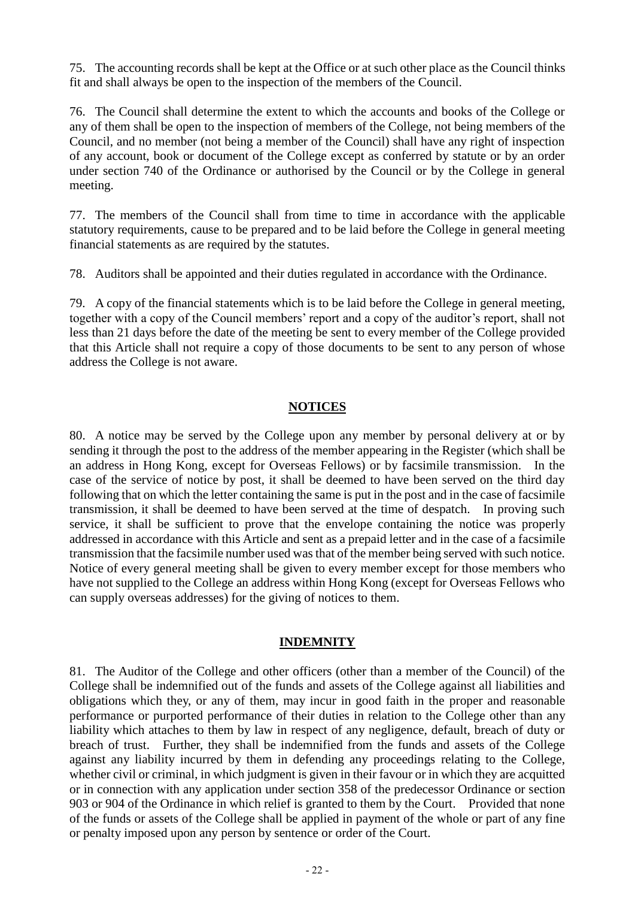75. The accounting records shall be kept at the Office or at such other place as the Council thinks fit and shall always be open to the inspection of the members of the Council.

76. The Council shall determine the extent to which the accounts and books of the College or any of them shall be open to the inspection of members of the College, not being members of the Council, and no member (not being a member of the Council) shall have any right of inspection of any account, book or document of the College except as conferred by statute or by an order under section 740 of the Ordinance or authorised by the Council or by the College in general meeting.

77. The members of the Council shall from time to time in accordance with the applicable statutory requirements, cause to be prepared and to be laid before the College in general meeting financial statements as are required by the statutes.

78. Auditors shall be appointed and their duties regulated in accordance with the Ordinance.

79. A copy of the financial statements which is to be laid before the College in general meeting, together with a copy of the Council members' report and a copy of the auditor's report, shall not less than 21 days before the date of the meeting be sent to every member of the College provided that this Article shall not require a copy of those documents to be sent to any person of whose address the College is not aware.

### **NOTICES**

80. A notice may be served by the College upon any member by personal delivery at or by sending it through the post to the address of the member appearing in the Register (which shall be an address in Hong Kong, except for Overseas Fellows) or by facsimile transmission. In the case of the service of notice by post, it shall be deemed to have been served on the third day following that on which the letter containing the same is put in the post and in the case of facsimile transmission, it shall be deemed to have been served at the time of despatch. In proving such service, it shall be sufficient to prove that the envelope containing the notice was properly addressed in accordance with this Article and sent as a prepaid letter and in the case of a facsimile transmission that the facsimile number used was that of the member being served with such notice. Notice of every general meeting shall be given to every member except for those members who have not supplied to the College an address within Hong Kong (except for Overseas Fellows who can supply overseas addresses) for the giving of notices to them.

### **INDEMNITY**

81. The Auditor of the College and other officers (other than a member of the Council) of the College shall be indemnified out of the funds and assets of the College against all liabilities and obligations which they, or any of them, may incur in good faith in the proper and reasonable performance or purported performance of their duties in relation to the College other than any liability which attaches to them by law in respect of any negligence, default, breach of duty or breach of trust. Further, they shall be indemnified from the funds and assets of the College against any liability incurred by them in defending any proceedings relating to the College, whether civil or criminal, in which judgment is given in their favour or in which they are acquitted or in connection with any application under section 358 of the predecessor Ordinance or section 903 or 904 of the Ordinance in which relief is granted to them by the Court. Provided that none of the funds or assets of the College shall be applied in payment of the whole or part of any fine or penalty imposed upon any person by sentence or order of the Court.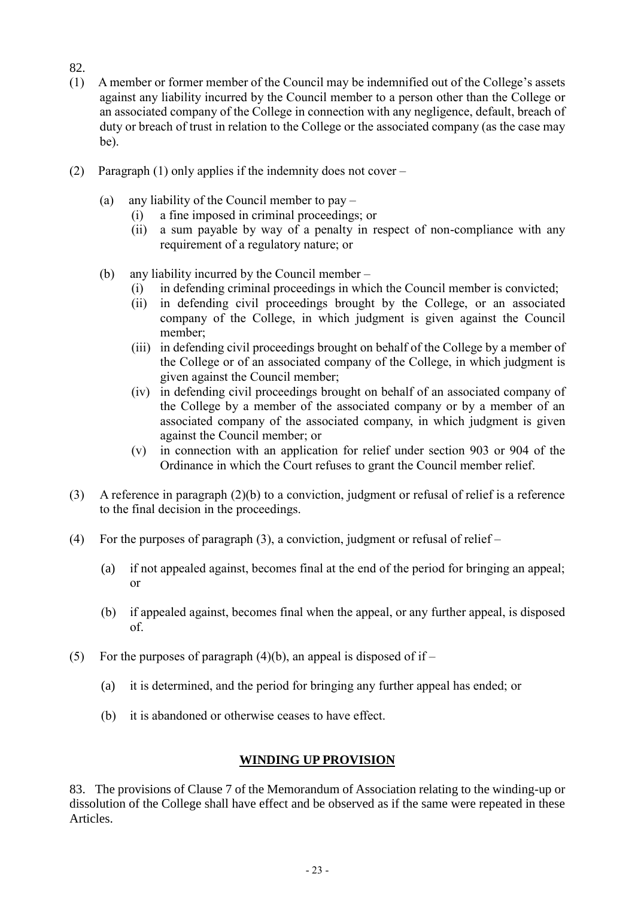- 82.
- (1) A member or former member of the Council may be indemnified out of the College's assets against any liability incurred by the Council member to a person other than the College or an associated company of the College in connection with any negligence, default, breach of duty or breach of trust in relation to the College or the associated company (as the case may be).
- (2) Paragraph (1) only applies if the indemnity does not cover
	- (a) any liability of the Council member to pay
		- (i) a fine imposed in criminal proceedings; or
		- (ii) a sum payable by way of a penalty in respect of non-compliance with any requirement of a regulatory nature; or
	- (b) any liability incurred by the Council member
		- (i) in defending criminal proceedings in which the Council member is convicted;
		- (ii) in defending civil proceedings brought by the College, or an associated company of the College, in which judgment is given against the Council member;
		- (iii) in defending civil proceedings brought on behalf of the College by a member of the College or of an associated company of the College, in which judgment is given against the Council member;
		- (iv) in defending civil proceedings brought on behalf of an associated company of the College by a member of the associated company or by a member of an associated company of the associated company, in which judgment is given against the Council member; or
		- (v) in connection with an application for relief under section 903 or 904 of the Ordinance in which the Court refuses to grant the Council member relief.
- (3) A reference in paragraph (2)(b) to a conviction, judgment or refusal of relief is a reference to the final decision in the proceedings.
- (4) For the purposes of paragraph (3), a conviction, judgment or refusal of relief
	- (a) if not appealed against, becomes final at the end of the period for bringing an appeal; or
	- (b) if appealed against, becomes final when the appeal, or any further appeal, is disposed of.
- (5) For the purposes of paragraph  $(4)(b)$ , an appeal is disposed of if
	- (a) it is determined, and the period for bringing any further appeal has ended; or
	- (b) it is abandoned or otherwise ceases to have effect.

# **WINDING UP PROVISION**

83. The provisions of Clause 7 of the Memorandum of Association relating to the winding-up or dissolution of the College shall have effect and be observed as if the same were repeated in these Articles.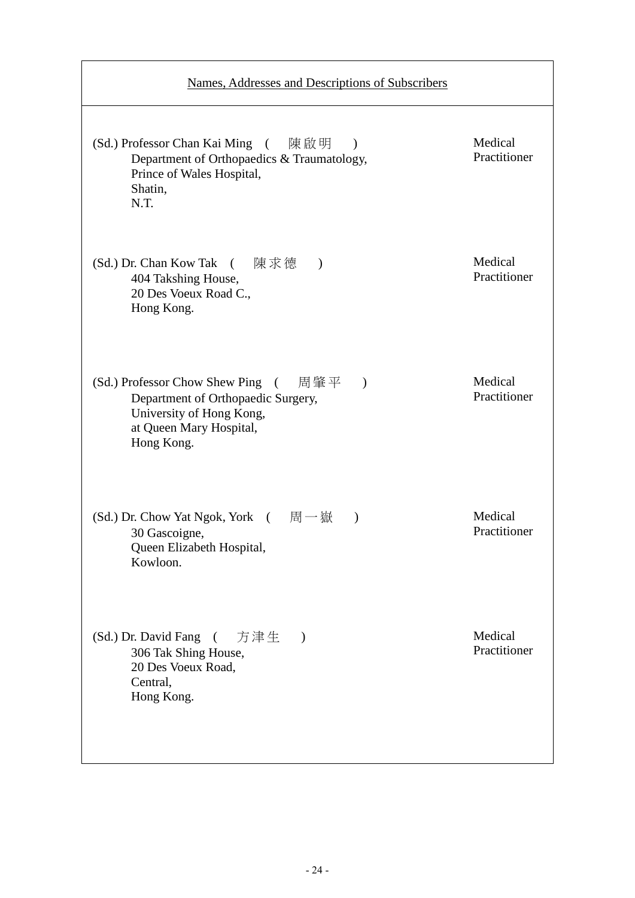| Names, Addresses and Descriptions of Subscribers                                                                                                                 |                         |
|------------------------------------------------------------------------------------------------------------------------------------------------------------------|-------------------------|
| (Sd.) Professor Chan Kai Ming (陳啟明<br>$\overline{\phantom{a}}$<br>Department of Orthopaedics & Traumatology,<br>Prince of Wales Hospital,<br>Shatin,<br>N.T.     | Medical<br>Practitioner |
| (Sd.) Dr. Chan Kow Tak ( 陳求德<br>$\lambda$<br>404 Takshing House,<br>20 Des Voeux Road C.,<br>Hong Kong.                                                          | Medical<br>Practitioner |
| (Sd.) Professor Chow Shew Ping ( 周肇平<br>$\mathcal{E}$<br>Department of Orthopaedic Surgery,<br>University of Hong Kong,<br>at Queen Mary Hospital,<br>Hong Kong. | Medical<br>Practitioner |
| (Sd.) Dr. Chow Yat Ngok, York (周一嶽<br>$\lambda$<br>30 Gascoigne,<br>Queen Elizabeth Hospital,<br>Kowloon.                                                        | Medical<br>Practitioner |
| (Sd.) Dr. David Fang (<br>方津生<br>$\rightarrow$<br>306 Tak Shing House,<br>20 Des Voeux Road,<br>Central,<br>Hong Kong.                                           | Medical<br>Practitioner |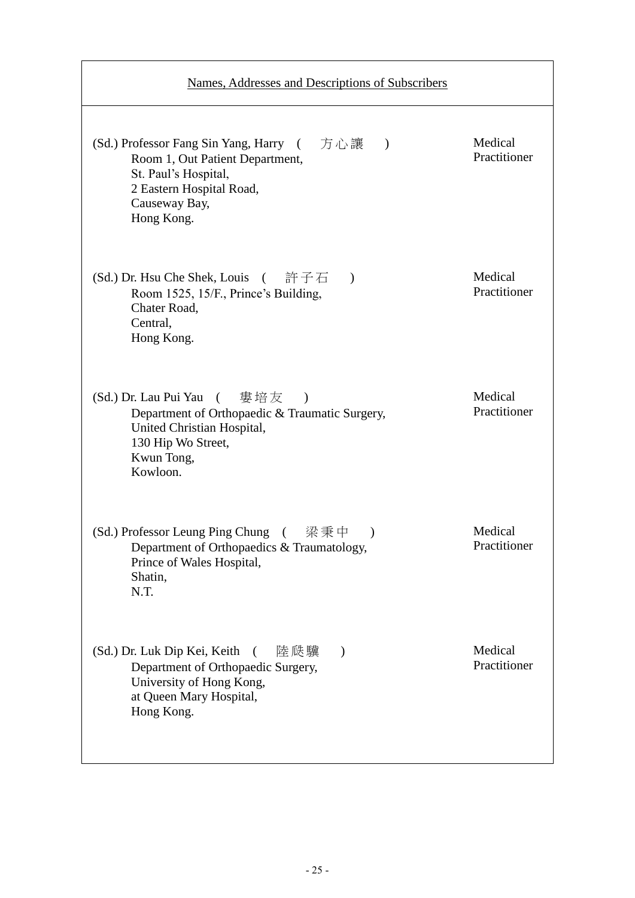| Names, Addresses and Descriptions of Subscribers                                                                                                                             |                         |
|------------------------------------------------------------------------------------------------------------------------------------------------------------------------------|-------------------------|
| (Sd.) Professor Fang Sin Yang, Harry (方心讓)<br>Room 1, Out Patient Department,<br>St. Paul's Hospital,<br>2 Eastern Hospital Road,<br>Causeway Bay,<br>Hong Kong.             | Medical<br>Practitioner |
| (Sd.) Dr. Hsu Che Shek, Louis (<br>許子石<br>$\lambda$<br>Room 1525, 15/F., Prince's Building,<br>Chater Road,<br>Central,<br>Hong Kong.                                        | Medical<br>Practitioner |
| (Sd.) Dr. Lau Pui Yau ( 婁培友<br>$\rightarrow$<br>Department of Orthopaedic & Traumatic Surgery,<br>United Christian Hospital,<br>130 Hip Wo Street,<br>Kwun Tong,<br>Kowloon. | Medical<br>Practitioner |
| (Sd.) Professor Leung Ping Chung ( 梁秉中<br>Department of Orthopaedics & Traumatology,<br>Prince of Wales Hospital,<br>Shatin,<br>N.T.                                         | Medical<br>Practitioner |
| (Sd.) Dr. Luk Dip Kei, Keith<br>陸瓞驥<br>€<br>$\mathcal{E}$<br>Department of Orthopaedic Surgery,<br>University of Hong Kong,<br>at Queen Mary Hospital,<br>Hong Kong.         | Medical<br>Practitioner |